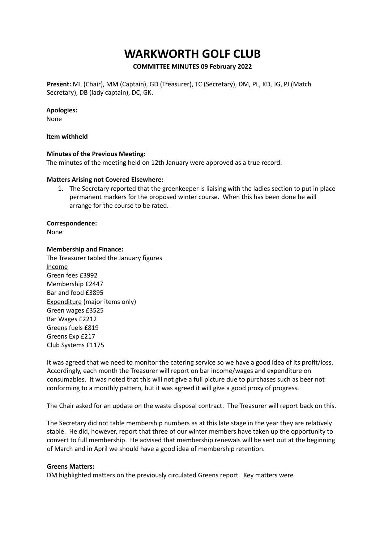# **WARKWORTH GOLF CLUB**

## **COMMITTEE MINUTES 09 February 2022**

**Present:** ML (Chair), MM (Captain), GD (Treasurer), TC (Secretary), DM, PL, KD, JG, PJ (Match Secretary), DB (lady captain), DC, GK.

### **Apologies:**

None

### **Item withheld**

### **Minutes of the Previous Meeting:**

The minutes of the meeting held on 12th January were approved as a true record.

### **Matters Arising not Covered Elsewhere:**

1. The Secretary reported that the greenkeeper is liaising with the ladies section to put in place permanent markers for the proposed winter course. When this has been done he will arrange for the course to be rated.

### **Correspondence:**

None

#### **Membership and Finance:**

The Treasurer tabled the January figures Income Green fees £3992 Membership £2447 Bar and food £3895 Expenditure (major items only) Green wages £3525 Bar Wages £2212 Greens fuels £819 Greens Exp £217 Club Systems £1175

It was agreed that we need to monitor the catering service so we have a good idea of its profit/loss. Accordingly, each month the Treasurer will report on bar income/wages and expenditure on consumables. It was noted that this will not give a full picture due to purchases such as beer not conforming to a monthly pattern, but it was agreed it will give a good proxy of progress.

The Chair asked for an update on the waste disposal contract. The Treasurer will report back on this.

The Secretary did not table membership numbers as at this late stage in the year they are relatively stable. He did, however, report that three of our winter members have taken up the opportunity to convert to full membership. He advised that membership renewals will be sent out at the beginning of March and in April we should have a good idea of membership retention.

#### **Greens Matters:**

DM highlighted matters on the previously circulated Greens report. Key matters were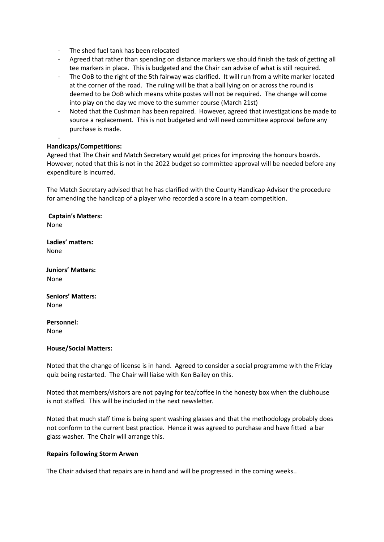- The shed fuel tank has been relocated
- Agreed that rather than spending on distance markers we should finish the task of getting all tee markers in place. This is budgeted and the Chair can advise of what is still required.
- The OoB to the right of the 5th fairway was clarified. It will run from a white marker located at the corner of the road. The ruling will be that a ball lying on or across the round is deemed to be OoB which means white postes will not be required. The change will come into play on the day we move to the summer course (March 21st)
- Noted that the Cushman has been repaired. However, agreed that investigations be made to source a replacement. This is not budgeted and will need committee approval before any purchase is made.

## **Handicaps/Competitions:**

-

Agreed that The Chair and Match Secretary would get prices for improving the honours boards. However, noted that this is not in the 2022 budget so committee approval will be needed before any expenditure is incurred.

The Match Secretary advised that he has clarified with the County Handicap Adviser the procedure for amending the handicap of a player who recorded a score in a team competition.

**Captain's Matters:** None

**Ladies' matters:** None

**Juniors' Matters:** None

**Seniors' Matters:** None

**Personnel:** None

## **House/Social Matters:**

Noted that the change of license is in hand. Agreed to consider a social programme with the Friday quiz being restarted. The Chair will liaise with Ken Bailey on this.

Noted that members/visitors are not paying for tea/coffee in the honesty box when the clubhouse is not staffed. This will be included in the next newsletter.

Noted that much staff time is being spent washing glasses and that the methodology probably does not conform to the current best practice. Hence it was agreed to purchase and have fitted a bar glass washer. The Chair will arrange this.

## **Repairs following Storm Arwen**

The Chair advised that repairs are in hand and will be progressed in the coming weeks..